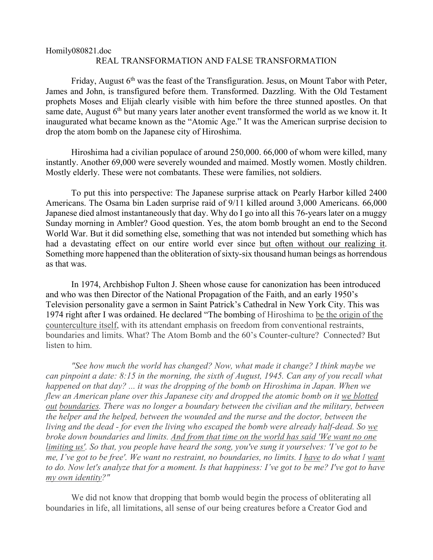## Homily080821.doc REAL TRANSFORMATION AND FALSE TRANSFORMATION

Friday, August  $6<sup>th</sup>$  was the feast of the Transfiguration. Jesus, on Mount Tabor with Peter, James and John, is transfigured before them. Transformed. Dazzling. With the Old Testament prophets Moses and Elijah clearly visible with him before the three stunned apostles. On that same date, August  $6<sup>th</sup>$  but many years later another event transformed the world as we know it. It inaugurated what became known as the "Atomic Age." It was the American surprise decision to drop the atom bomb on the Japanese city of Hiroshima.

Hiroshima had a civilian populace of around 250,000. 66,000 of whom were killed, many instantly. Another 69,000 were severely wounded and maimed. Mostly women. Mostly children. Mostly elderly. These were not combatants. These were families, not soldiers.

To put this into perspective: The Japanese surprise attack on Pearly Harbor killed 2400 Americans. The Osama bin Laden surprise raid of 9/11 killed around 3,000 Americans. 66,000 Japanese died almost instantaneously that day. Why do I go into all this 76-years later on a muggy Sunday morning in Ambler? Good question. Yes, the atom bomb brought an end to the Second World War. But it did something else, something that was not intended but something which has had a devastating effect on our entire world ever since but often without our realizing it. Something more happened than the obliteration of sixty-six thousand human beings as horrendous as that was.

In 1974, Archbishop Fulton J. Sheen whose cause for canonization has been introduced and who was then Director of the National Propagation of the Faith, and an early 1950's Television personality gave a sermon in Saint Patrick's Cathedral in New York City. This was 1974 right after I was ordained. He declared "The bombing of Hiroshima to be the origin of the counterculture itself, with its attendant emphasis on freedom from conventional restraints, boundaries and limits. What? The Atom Bomb and the 60's Counter-culture? Connected? But listen to him.

*"See how much the world has changed? Now, what made it change? I think maybe we can pinpoint a date: 8:15 in the morning, the sixth of August, 1945. Can any of you recall what happened on that day? ... it was the dropping of the bomb on Hiroshima in Japan. When we flew an American plane over this Japanese city and dropped the atomic bomb on it we blotted out boundaries. There was no longer a boundary between the civilian and the military, between the helper and the helped, between the wounded and the nurse and the doctor, between the living and the dead - for even the living who escaped the bomb were already half-dead. So we broke down boundaries and limits. And from that time on the world has said 'We want no one limiting us'. So that, you people have heard the song, you've sung it yourselves: 'I've got to be me, I've got to be free'. We want no restraint, no boundaries, no limits. I have to do what I want to do. Now let's analyze that for a moment. Is that happiness: I've got to be me? I've got to have my own identity?"*

We did not know that dropping that bomb would begin the process of obliterating all boundaries in life, all limitations, all sense of our being creatures before a Creator God and